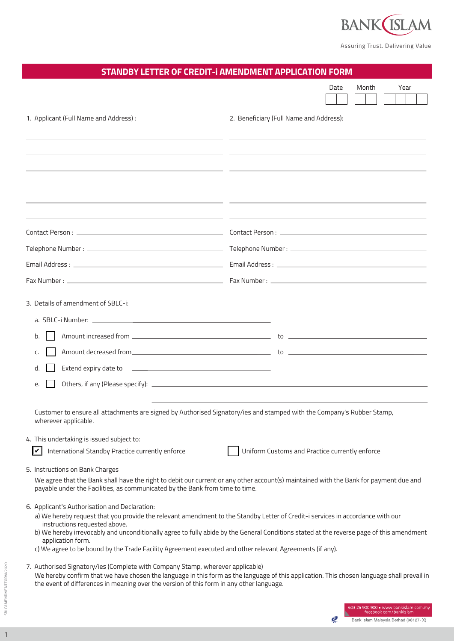

Assuring Trust. Delivering Value.

| STANDBY LETTER OF CREDIT-I AMENDMENT APPLICATION FORM                                                                                                                                                                                                                                                                    |                                                                                                                                          |
|--------------------------------------------------------------------------------------------------------------------------------------------------------------------------------------------------------------------------------------------------------------------------------------------------------------------------|------------------------------------------------------------------------------------------------------------------------------------------|
|                                                                                                                                                                                                                                                                                                                          | Date<br>Month<br>Year                                                                                                                    |
| 1. Applicant (Full Name and Address):                                                                                                                                                                                                                                                                                    | 2. Beneficiary (Full Name and Address):                                                                                                  |
|                                                                                                                                                                                                                                                                                                                          | <u> 1989 - Andrea Santa Alemania, poeta esperanto-se especialmente de la contrada de la contrada de la contrada d</u>                    |
|                                                                                                                                                                                                                                                                                                                          | <u> 1999 - Andrea San Andrea San Andrea San Andrea San Andrea San Andrea San Andrea San Andrea San Andrea San Andr</u>                   |
|                                                                                                                                                                                                                                                                                                                          | <u> 1989 - Andrea Santa Andrea Andrea Andrea Andrea Andrea Andrea Andrea Andrea Andrea Andrea Andrea Andrea Andr</u>                     |
|                                                                                                                                                                                                                                                                                                                          |                                                                                                                                          |
|                                                                                                                                                                                                                                                                                                                          |                                                                                                                                          |
|                                                                                                                                                                                                                                                                                                                          |                                                                                                                                          |
|                                                                                                                                                                                                                                                                                                                          |                                                                                                                                          |
| 3. Details of amendment of SBLC-i:                                                                                                                                                                                                                                                                                       |                                                                                                                                          |
|                                                                                                                                                                                                                                                                                                                          |                                                                                                                                          |
| b.                                                                                                                                                                                                                                                                                                                       |                                                                                                                                          |
| c.                                                                                                                                                                                                                                                                                                                       |                                                                                                                                          |
| d.                                                                                                                                                                                                                                                                                                                       |                                                                                                                                          |
| e.                                                                                                                                                                                                                                                                                                                       |                                                                                                                                          |
| Customer to ensure all attachments are signed by Authorised Signatory/ies and stamped with the Company's Rubber Stamp,<br>wherever applicable.                                                                                                                                                                           |                                                                                                                                          |
| 4. This undertaking is issued subject to:                                                                                                                                                                                                                                                                                |                                                                                                                                          |
| ∣✓<br>International Standby Practice currently enforce                                                                                                                                                                                                                                                                   | Uniform Customs and Practice currently enforce                                                                                           |
| 5. Instructions on Bank Charges<br>payable under the Facilities, as communicated by the Bank from time to time.                                                                                                                                                                                                          | We agree that the Bank shall have the right to debit our current or any other account(s) maintained with the Bank for payment due and    |
| 6. Applicant's Authorisation and Declaration:<br>a) We hereby request that you provide the relevant amendment to the Standby Letter of Credit-i services in accordance with our<br>instructions requested above.                                                                                                         |                                                                                                                                          |
| application form.<br>c) We agree to be bound by the Trade Facility Agreement executed and other relevant Agreements (if any).                                                                                                                                                                                            | b) We hereby irrevocably and unconditionally agree to fully abide by the General Conditions stated at the reverse page of this amendment |
| 7. Authorised Signatory/ies (Complete with Company Stamp, wherever applicable)<br>We hereby confirm that we have chosen the language in this form as the language of this application. This chosen language shall prevail in<br>the event of differences in meaning over the version of this form in any other language. |                                                                                                                                          |
|                                                                                                                                                                                                                                                                                                                          | 503 26 900 900 • www.bankislam.com.my<br>facebook.com/bankislam<br>Bank Islam Malaysia Berhad (98127-X)                                  |

1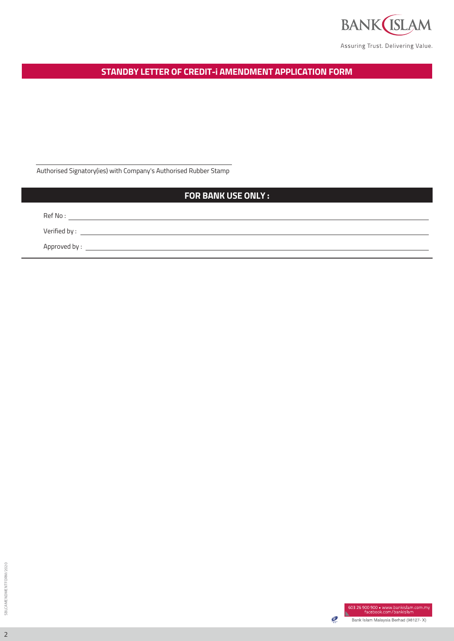

Assuring Trust. Delivering Value.

**STANDBY LETTER OF CREDIT-i AMENDMENT APPLICATION FORM**

Authorised Signatory(ies) with Company's Authorised Rubber Stamp

## **FOR BANK USE ONLY :**

Ref No :

Verified by :

Approved by : \_\_

SBLCAMENDMENTFORM/2020 SBLCAMENDMENTFORM/2020

2